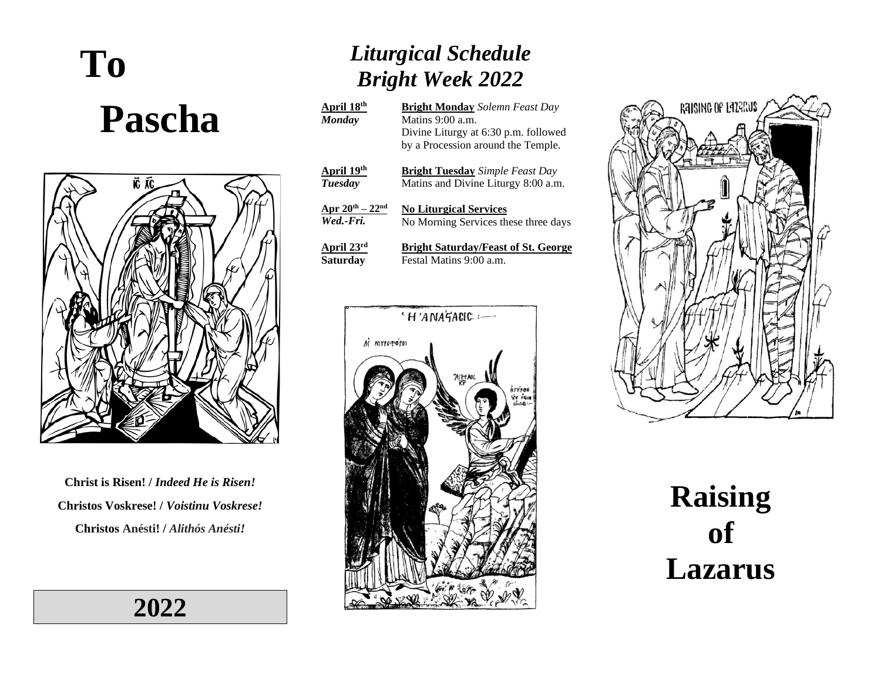# **To Pascha**



**Christ is Risen! /** *Indeed He is Risen!* **Christos Voskrese! /** *Voistinu Voskrese!* **Christos Anésti! /** *Alithós Anésti!*

**2022**

## *Liturgical Schedule Bright Week 2022*

| April 18 <sup>th</sup><br><b>Monday</b> | <b>Bright Monday</b> Solemn Feast Day<br>Matins $9:00$ a.m.<br>Divine Liturgy at 6:30 p.m. followed<br>by a Procession around the Temple. |
|-----------------------------------------|-------------------------------------------------------------------------------------------------------------------------------------------|
| April 19 <sup>th</sup>                  | <b>Bright Tuesday</b> Simple Feast Day                                                                                                    |
| Tuesday                                 | Matins and Divine Liturgy 8:00 a.m.                                                                                                       |
| Apr $20^{th} - 22^{nd}$                 | <b>No Liturgical Services</b>                                                                                                             |
| Wed.-Fri.                               | No Morning Services these three days                                                                                                      |
| April $23rd$                            | <b>Bright Saturday/Feast of St. George</b>                                                                                                |
| Saturday                                | Festal Matins 9:00 a.m.                                                                                                                   |





**Raising of Lazarus**